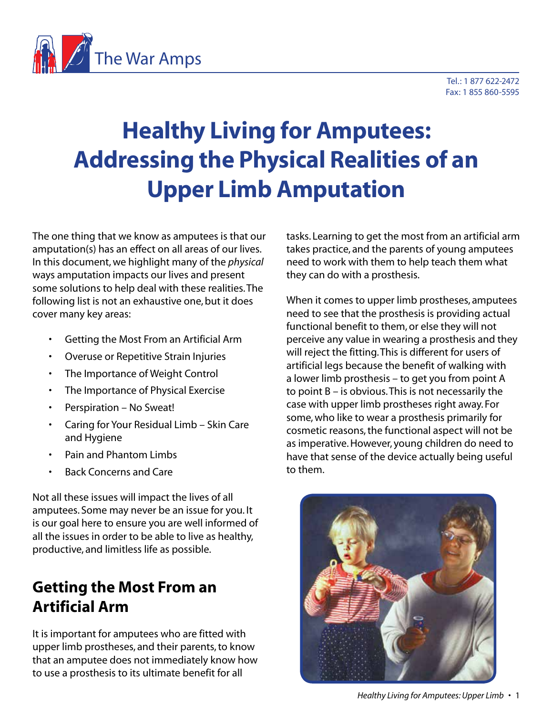

# **Healthy Living for Amputees: Addressing the Physical Realities of an Upper Limb Amputation**

The one thing that we know as amputees is that our amputation(s) has an effect on all areas of our lives. In this document, we highlight many of the *physical* ways amputation impacts our lives and present some solutions to help deal with these realities. The following list is not an exhaustive one, but it does cover many key areas:

- Getting the Most From an Artificial Arm
- Overuse or Repetitive Strain Injuries
- The Importance of Weight Control
- The Importance of Physical Exercise
- Perspiration No Sweat!
- Caring for Your Residual Limb Skin Care and Hygiene
- Pain and Phantom Limbs
- Back Concerns and Care

Not all these issues will impact the lives of all amputees. Some may never be an issue for you. It is our goal here to ensure you are well informed of all the issues in order to be able to live as healthy, productive, and limitless life as possible.

#### **Getting the Most From an Artificial Arm**

It is important for amputees who are fitted with upper limb prostheses, and their parents, to know that an amputee does not immediately know how to use a prosthesis to its ultimate benefit for all

tasks. Learning to get the most from an artificial arm takes practice, and the parents of young amputees need to work with them to help teach them what they can do with a prosthesis.

When it comes to upper limb prostheses, amputees need to see that the prosthesis is providing actual functional benefit to them, or else they will not perceive any value in wearing a prosthesis and they will reject the fitting. This is different for users of artificial legs because the benefit of walking with a lower limb prosthesis – to get you from point A to point B – is obvious. This is not necessarily the case with upper limb prostheses right away. For some, who like to wear a prosthesis primarily for cosmetic reasons, the functional aspect will not be as imperative. However, young children do need to have that sense of the device actually being useful to them.

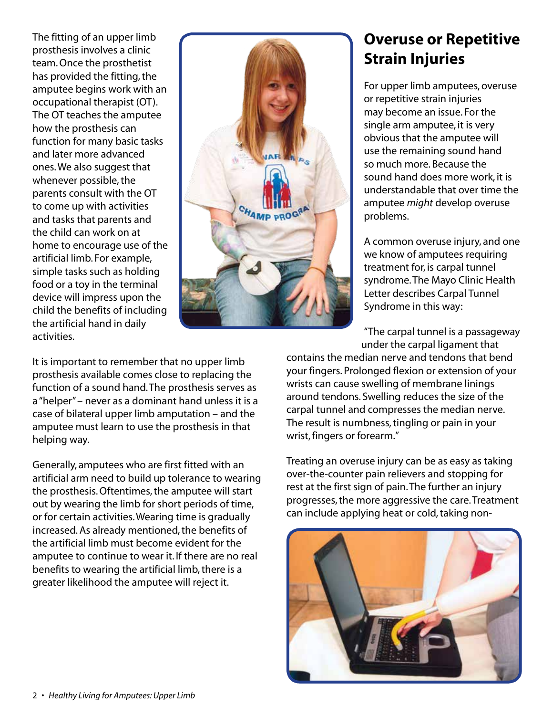The fitting of an upper limb prosthesis involves a clinic team. Once the prosthetist has provided the fitting, the amputee begins work with an occupational therapist (OT). The OT teaches the amputee how the prosthesis can function for many basic tasks and later more advanced ones. We also suggest that whenever possible, the parents consult with the OT to come up with activities and tasks that parents and the child can work on at home to encourage use of the artificial limb. For example, simple tasks such as holding food or a toy in the terminal device will impress upon the child the benefits of including the artificial hand in daily activities.



**Overuse or Repetitive Strain Injuries** 

For upper limb amputees, overuse or repetitive strain injuries may become an issue. For the single arm amputee, it is very obvious that the amputee will use the remaining sound hand so much more. Because the sound hand does more work, it is understandable that over time the amputee *might* develop overuse problems.

A common overuse injury, and one we know of amputees requiring treatment for, is carpal tunnel syndrome. The Mayo Clinic Health Letter describes Carpal Tunnel Syndrome in this way:

"The carpal tunnel is a passageway under the carpal ligament that

contains the median nerve and tendons that bend your fingers. Prolonged flexion or extension of your wrists can cause swelling of membrane linings around tendons. Swelling reduces the size of the carpal tunnel and compresses the median nerve. The result is numbness, tingling or pain in your wrist, fingers or forearm."

Treating an overuse injury can be as easy as taking over-the-counter pain relievers and stopping for rest at the first sign of pain. The further an injury progresses, the more aggressive the care. Treatment can include applying heat or cold, taking non-



It is important to remember that no upper limb prosthesis available comes close to replacing the function of a sound hand. The prosthesis serves as a "helper" – never as a dominant hand unless it is a case of bilateral upper limb amputation – and the amputee must learn to use the prosthesis in that helping way.

Generally, amputees who are first fitted with an artificial arm need to build up tolerance to wearing the prosthesis. Oftentimes, the amputee will start out by wearing the limb for short periods of time, or for certain activities. Wearing time is gradually increased. As already mentioned, the benefits of the artificial limb must become evident for the amputee to continue to wear it. If there are no real benefits to wearing the artificial limb, there is a greater likelihood the amputee will reject it.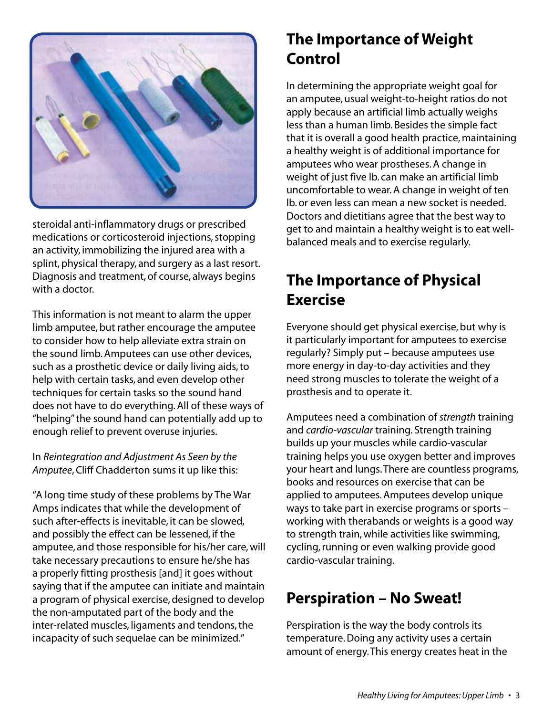

steroidal anti-inflammatory drugs or prescribed medications or corticosteroid injections, stopping an activity, immobilizing the injured area with a splint, physical therapy, and surgery as a last resort. Diagnosis and treatment, of course, always begins with a doctor.

This information is not meant to alarm the upper limb amputee, but rather encourage the amputee to consider how to help alleviate extra strain on the sound limb. Amputees can use other devices, such as a prosthetic device or daily living aids, to help with certain tasks, and even develop other techniques for certain tasks so the sound hand does not have to do everything. All of these ways of "helping" the sound hand can potentially add up to enough relief to prevent overuse injuries.

In *Reintegration and Adjustment As Seen by the Amputee*, Cliff Chadderton sums it up like this:

"A long time study of these problems by The War Amps indicates that while the development of such after-effects is inevitable, it can be slowed, and possibly the effect can be lessened, if the amputee, and those responsible for his/her care, will take necessary precautions to ensure he/she has a properly fitting prosthesis [and] it goes without saying that if the amputee can initiate and maintain a program of physical exercise, designed to develop the non-amputated part of the body and the inter-related muscles, ligaments and tendons, the incapacity of such sequelae can be minimized."

# **The Importance of Weight Control**

In determining the appropriate weight goal for an amputee, usual weight-to-height ratios do not apply because an artificial limb actually weighs less than a human limb. Besides the simple fact that it is overall a good health practice, maintaining a healthy weight is of additional importance for amputees who wear prostheses. A change in weight of just five lb. can make an artificial limb uncomfortable to wear. A change in weight of ten lb. or even less can mean a new socket is needed. Doctors and dietitians agree that the best way to get to and maintain a healthy weight is to eat wellbalanced meals and to exercise regularly.

## **The Importance of Physical Exercise**

Everyone should get physical exercise, but why is it particularly important for amputees to exercise regularly? Simply put – because amputees use more energy in day-to-day activities and they need strong muscles to tolerate the weight of a prosthesis and to operate it.

Amputees need a combination of *strength* training and *cardio-vascular* training. Strength training builds up your muscles while cardio-vascular training helps you use oxygen better and improves your heart and lungs. There are countless programs, books and resources on exercise that can be applied to amputees. Amputees develop unique ways to take part in exercise programs or sports – working with therabands or weights is a good way to strength train, while activities like swimming, cycling, running or even walking provide good cardio-vascular training.

# **Perspiration – No Sweat!**

Perspiration is the way the body controls its temperature. Doing any activity uses a certain amount of energy. This energy creates heat in the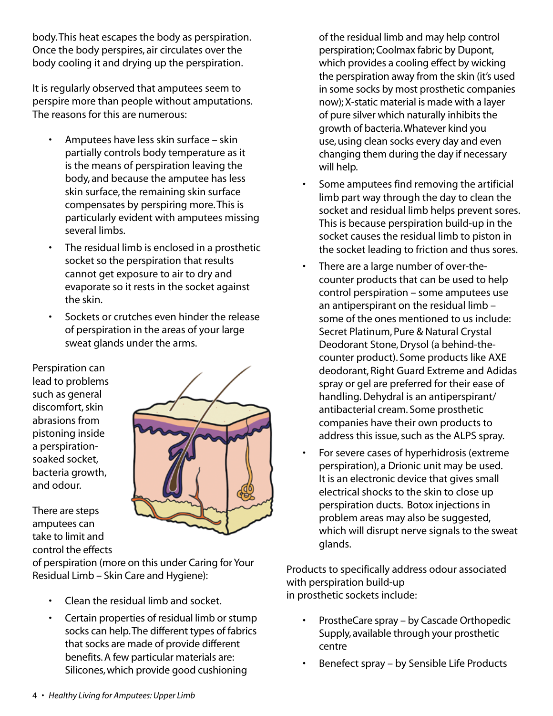body. This heat escapes the body as perspiration. Once the body perspires, air circulates over the body cooling it and drying up the perspiration.

It is regularly observed that amputees seem to perspire more than people without amputations. The reasons for this are numerous:

- Amputees have less skin surface skin partially controls body temperature as it is the means of perspiration leaving the body, and because the amputee has less skin surface, the remaining skin surface compensates by perspiring more. This is particularly evident with amputees missing several limbs.
- The residual limb is enclosed in a prosthetic socket so the perspiration that results cannot get exposure to air to dry and evaporate so it rests in the socket against the skin.
- Sockets or crutches even hinder the release of perspiration in the areas of your large sweat glands under the arms.

Perspiration can lead to problems such as general discomfort, skin abrasions from pistoning inside a perspirationsoaked socket, bacteria growth, and odour.

There are steps amputees can take to limit and control the effects



of perspiration (more on this under Caring for Your Residual Limb – Skin Care and Hygiene):

- Clean the residual limb and socket.
- Certain properties of residual limb or stump socks can help. The different types of fabrics that socks are made of provide different benefits. A few particular materials are: Silicones, which provide good cushioning

of the residual limb and may help control perspiration; Coolmax fabric by Dupont, which provides a cooling effect by wicking the perspiration away from the skin (it's used in some socks by most prosthetic companies now); X-static material is made with a layer of pure silver which naturally inhibits the growth of bacteria. Whatever kind you use, using clean socks every day and even changing them during the day if necessary will help.

- Some amputees find removing the artificial limb part way through the day to clean the socket and residual limb helps prevent sores. This is because perspiration build-up in the socket causes the residual limb to piston in the socket leading to friction and thus sores.
- There are a large number of over-thecounter products that can be used to help control perspiration – some amputees use an antiperspirant on the residual limb – some of the ones mentioned to us include: Secret Platinum, Pure & Natural Crystal Deodorant Stone, Drysol (a behind-thecounter product). Some products like AXE deodorant, Right Guard Extreme and Adidas spray or gel are preferred for their ease of handling. Dehydral is an antiperspirant/ antibacterial cream. Some prosthetic companies have their own products to address this issue, such as the ALPS spray.
- For severe cases of hyperhidrosis (extreme perspiration), a Drionic unit may be used. It is an electronic device that gives small electrical shocks to the skin to close up perspiration ducts. Botox injections in problem areas may also be suggested, which will disrupt nerve signals to the sweat glands.

Products to specifically address odour associated with perspiration build-up in prosthetic sockets include:

- ProstheCare spray by Cascade Orthopedic Supply, available through your prosthetic centre
- Benefect spray by Sensible Life Products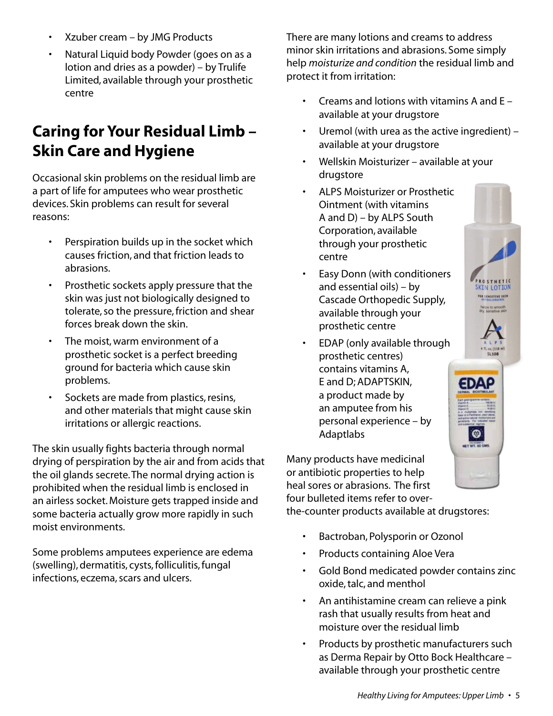- Xzuber cream by JMG Products
- Natural Liquid body Powder (goes on as a lotion and dries as a powder) – by Trulife Limited, available through your prosthetic centre

### **Caring for Your Residual Limb – Skin Care and Hygiene**

Occasional skin problems on the residual limb are a part of life for amputees who wear prosthetic devices. Skin problems can result for several reasons:

- Perspiration builds up in the socket which causes friction, and that friction leads to abrasions.
- Prosthetic sockets apply pressure that the skin was just not biologically designed to tolerate, so the pressure, friction and shear forces break down the skin.
- The moist, warm environment of a prosthetic socket is a perfect breeding ground for bacteria which cause skin problems.
- Sockets are made from plastics, resins, and other materials that might cause skin irritations or allergic reactions.

The skin usually fights bacteria through normal drying of perspiration by the air and from acids that the oil glands secrete. The normal drying action is prohibited when the residual limb is enclosed in an airless socket. Moisture gets trapped inside and some bacteria actually grow more rapidly in such moist environments.

Some problems amputees experience are edema (swelling), dermatitis, cysts, folliculitis, fungal infections, eczema, scars and ulcers.

There are many lotions and creams to address minor skin irritations and abrasions. Some simply help *moisturize and condition* the residual limb and protect it from irritation:

- Creams and lotions with vitamins A and  $E$ available at your drugstore
- Uremol (with urea as the active ingredient)  $$ available at your drugstore
- Wellskin Moisturizer available at your drugstore
- ALPS Moisturizer or Prosthetic Ointment (with vitamins A and D) – by ALPS South Corporation, available through your prosthetic centre
- Easy Donn (with conditioners and essential oils) – by Cascade Orthopedic Supply, available through your prosthetic centre
- EDAP (only available through prosthetic centres) contains vitamins A, E and D; ADAPTSKIN, a product made by an amputee from his personal experience – by Adaptlabs

Many products have medicinal or antibiotic properties to help heal sores or abrasions. The first four bulleted items refer to over-

the-counter products available at drugstores:

- Bactroban, Polysporin or Ozonol
- Products containing Aloe Vera
- Gold Bond medicated powder contains zinc oxide, talc, and menthol
- An antihistamine cream can relieve a pink rash that usually results from heat and moisture over the residual limb
- Products by prosthetic manufacturers such as Derma Repair by Otto Bock Healthcare – available through your prosthetic centre

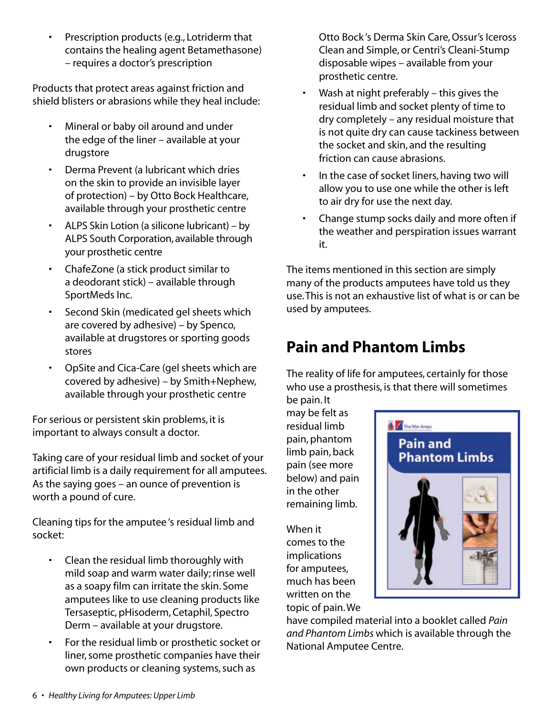• Prescription products (e.g., Lotriderm that contains the healing agent Betamethasone) – requires a doctor's prescription

Products that protect areas against friction and shield blisters or abrasions while they heal include:

- Mineral or baby oil around and under the edge of the liner – available at your drugstore
- Derma Prevent (a lubricant which dries on the skin to provide an invisible layer of protection) – by Otto Bock Healthcare, available through your prosthetic centre
- ALPS Skin Lotion (a silicone lubricant) by ALPS South Corporation, available through your prosthetic centre
- ChafeZone (a stick product similar to a deodorant stick) – available through SportMeds Inc.
- Second Skin (medicated gel sheets which are covered by adhesive) – by Spenco, available at drugstores or sporting goods stores
- OpSite and Cica-Care (gel sheets which are covered by adhesive) – by Smith+Nephew, available through your prosthetic centre

For serious or persistent skin problems, it is important to always consult a doctor.

Taking care of your residual limb and socket of your artificial limb is a daily requirement for all amputees. As the saying goes – an ounce of prevention is worth a pound of cure.

Cleaning tips for the amputee 's residual limb and socket:

- Clean the residual limb thoroughly with mild soap and warm water daily; rinse well as a soapy film can irritate the skin. Some amputees like to use cleaning products like Tersaseptic, pHisoderm, Cetaphil, Spectro Derm – available at your drugstore.
- For the residual limb or prosthetic socket or liner, some prosthetic companies have their own products or cleaning systems, such as

Otto Bock 's Derma Skin Care, Ossur's Iceross Clean and Simple, or Centri's Cleani-Stump disposable wipes – available from your prosthetic centre.

- Wash at night preferably  $-$  this gives the residual limb and socket plenty of time to dry completely – any residual moisture that is not quite dry can cause tackiness between the socket and skin, and the resulting friction can cause abrasions.
- In the case of socket liners, having two will allow you to use one while the other is left to air dry for use the next day.
- Change stump socks daily and more often if the weather and perspiration issues warrant it.

The items mentioned in this section are simply many of the products amputees have told us they use. This is not an exhaustive list of what is or can be used by amputees.

## **Pain and Phantom Limbs**

The reality of life for amputees, certainly for those who use a prosthesis, is that there will sometimes be pain. It

may be felt as residual limb pain, phantom limb pain, back pain (see more below) and pain in the other remaining limb.

When it comes to the implications for amputees, much has been written on the topic of pain. We



have compiled material into a booklet called *Pain and Phantom Limbs* which is available through the National Amputee Centre.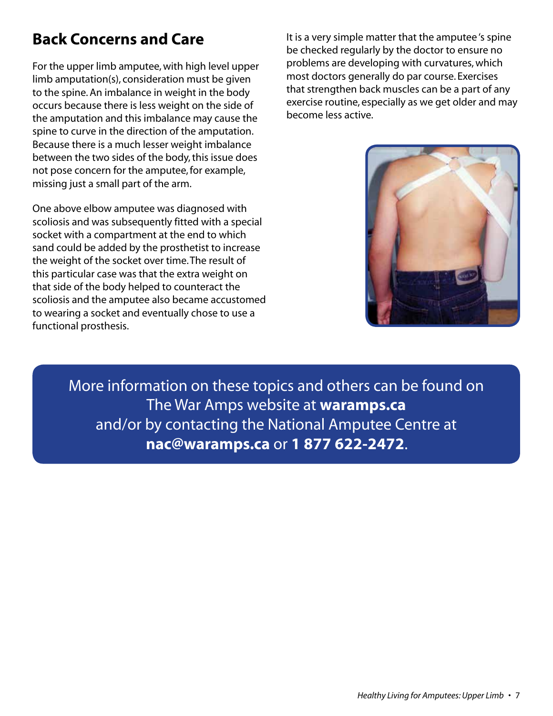## **Back Concerns and Care**

For the upper limb amputee, with high level upper limb amputation(s), consideration must be given to the spine. An imbalance in weight in the body occurs because there is less weight on the side of the amputation and this imbalance may cause the spine to curve in the direction of the amputation. Because there is a much lesser weight imbalance between the two sides of the body, this issue does not pose concern for the amputee, for example, missing just a small part of the arm.

One above elbow amputee was diagnosed with scoliosis and was subsequently fitted with a special socket with a compartment at the end to which sand could be added by the prosthetist to increase the weight of the socket over time. The result of this particular case was that the extra weight on that side of the body helped to counteract the scoliosis and the amputee also became accustomed to wearing a socket and eventually chose to use a functional prosthesis.

It is a very simple matter that the amputee 's spine be checked regularly by the doctor to ensure no problems are developing with curvatures, which most doctors generally do par course. Exercises that strengthen back muscles can be a part of any exercise routine, especially as we get older and may become less active.



More information on these topics and others can be found on The War Amps website at **waramps.ca** and/or by contacting the National Amputee Centre at **nac@waramps.ca** or **1 877 622-2472**.